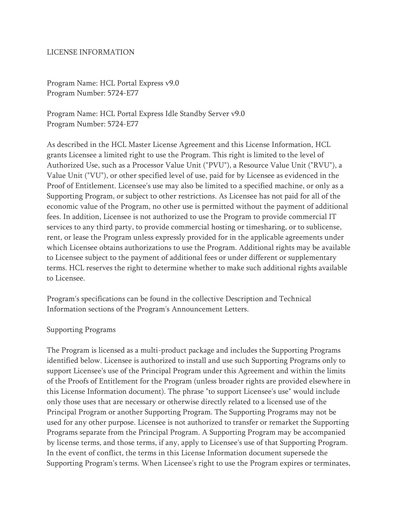### LICENSE INFORMATION

Program Name: HCL Portal Express v9.0 Program Number: 5724-E77

Program Name: HCL Portal Express Idle Standby Server v9.0 Program Number: 5724-E77

As described in the HCL Master License Agreement and this License Information, HCL grants Licensee a limited right to use the Program. This right is limited to the level of Authorized Use, such as a Processor Value Unit ("PVU"), a Resource Value Unit ("RVU"), a Value Unit ("VU"), or other specified level of use, paid for by Licensee as evidenced in the Proof of Entitlement. Licensee's use may also be limited to a specified machine, or only as a Supporting Program, or subject to other restrictions. As Licensee has not paid for all of the economic value of the Program, no other use is permitted without the payment of additional fees. In addition, Licensee is not authorized to use the Program to provide commercial IT services to any third party, to provide commercial hosting or timesharing, or to sublicense, rent, or lease the Program unless expressly provided for in the applicable agreements under which Licensee obtains authorizations to use the Program. Additional rights may be available to Licensee subject to the payment of additional fees or under different or supplementary terms. HCL reserves the right to determine whether to make such additional rights available to Licensee.

Program's specifications can be found in the collective Description and Technical Information sections of the Program's Announcement Letters.

#### Supporting Programs

The Program is licensed as a multi-product package and includes the Supporting Programs identified below. Licensee is authorized to install and use such Supporting Programs only to support Licensee's use of the Principal Program under this Agreement and within the limits of the Proofs of Entitlement for the Program (unless broader rights are provided elsewhere in this License Information document). The phrase "to support Licensee's use" would include only those uses that are necessary or otherwise directly related to a licensed use of the Principal Program or another Supporting Program. The Supporting Programs may not be used for any other purpose. Licensee is not authorized to transfer or remarket the Supporting Programs separate from the Principal Program. A Supporting Program may be accompanied by license terms, and those terms, if any, apply to Licensee's use of that Supporting Program. In the event of conflict, the terms in this License Information document supersede the Supporting Program's terms. When Licensee's right to use the Program expires or terminates,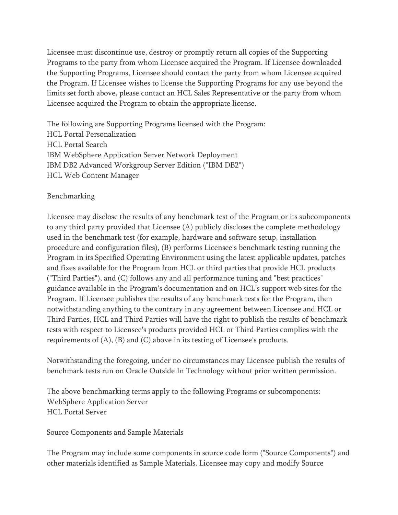Licensee must discontinue use, destroy or promptly return all copies of the Supporting Programs to the party from whom Licensee acquired the Program. If Licensee downloaded the Supporting Programs, Licensee should contact the party from whom Licensee acquired the Program. If Licensee wishes to license the Supporting Programs for any use beyond the limits set forth above, please contact an HCL Sales Representative or the party from whom Licensee acquired the Program to obtain the appropriate license.

The following are Supporting Programs licensed with the Program: HCL Portal Personalization HCL Portal Search IBM WebSphere Application Server Network Deployment IBM DB2 Advanced Workgroup Server Edition ("IBM DB2") HCL Web Content Manager

## Benchmarking

Licensee may disclose the results of any benchmark test of the Program or its subcomponents to any third party provided that Licensee (A) publicly discloses the complete methodology used in the benchmark test (for example, hardware and software setup, installation procedure and configuration files), (B) performs Licensee's benchmark testing running the Program in its Specified Operating Environment using the latest applicable updates, patches and fixes available for the Program from HCL or third parties that provide HCL products ("Third Parties"), and (C) follows any and all performance tuning and "best practices" guidance available in the Program's documentation and on HCL's support web sites for the Program. If Licensee publishes the results of any benchmark tests for the Program, then notwithstanding anything to the contrary in any agreement between Licensee and HCL or Third Parties, HCL and Third Parties will have the right to publish the results of benchmark tests with respect to Licensee's products provided HCL or Third Parties complies with the requirements of (A), (B) and (C) above in its testing of Licensee's products.

Notwithstanding the foregoing, under no circumstances may Licensee publish the results of benchmark tests run on Oracle Outside In Technology without prior written permission.

The above benchmarking terms apply to the following Programs or subcomponents: WebSphere Application Server HCL Portal Server

Source Components and Sample Materials

The Program may include some components in source code form ("Source Components") and other materials identified as Sample Materials. Licensee may copy and modify Source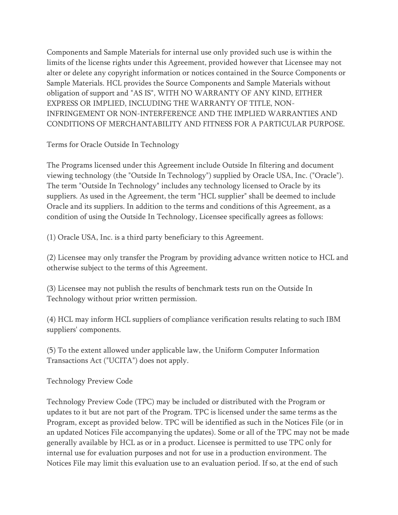Components and Sample Materials for internal use only provided such use is within the limits of the license rights under this Agreement, provided however that Licensee may not alter or delete any copyright information or notices contained in the Source Components or Sample Materials. HCL provides the Source Components and Sample Materials without obligation of support and "AS IS", WITH NO WARRANTY OF ANY KIND, EITHER EXPRESS OR IMPLIED, INCLUDING THE WARRANTY OF TITLE, NON-INFRINGEMENT OR NON-INTERFERENCE AND THE IMPLIED WARRANTIES AND CONDITIONS OF MERCHANTABILITY AND FITNESS FOR A PARTICULAR PURPOSE.

Terms for Oracle Outside In Technology

The Programs licensed under this Agreement include Outside In filtering and document viewing technology (the "Outside In Technology") supplied by Oracle USA, Inc. ("Oracle"). The term "Outside In Technology" includes any technology licensed to Oracle by its suppliers. As used in the Agreement, the term "HCL supplier" shall be deemed to include Oracle and its suppliers. In addition to the terms and conditions of this Agreement, as a condition of using the Outside In Technology, Licensee specifically agrees as follows:

(1) Oracle USA, Inc. is a third party beneficiary to this Agreement.

(2) Licensee may only transfer the Program by providing advance written notice to HCL and otherwise subject to the terms of this Agreement.

(3) Licensee may not publish the results of benchmark tests run on the Outside In Technology without prior written permission.

(4) HCL may inform HCL suppliers of compliance verification results relating to such IBM suppliers' components.

(5) To the extent allowed under applicable law, the Uniform Computer Information Transactions Act ("UCITA") does not apply.

Technology Preview Code

Technology Preview Code (TPC) may be included or distributed with the Program or updates to it but are not part of the Program. TPC is licensed under the same terms as the Program, except as provided below. TPC will be identified as such in the Notices File (or in an updated Notices File accompanying the updates). Some or all of the TPC may not be made generally available by HCL as or in a product. Licensee is permitted to use TPC only for internal use for evaluation purposes and not for use in a production environment. The Notices File may limit this evaluation use to an evaluation period. If so, at the end of such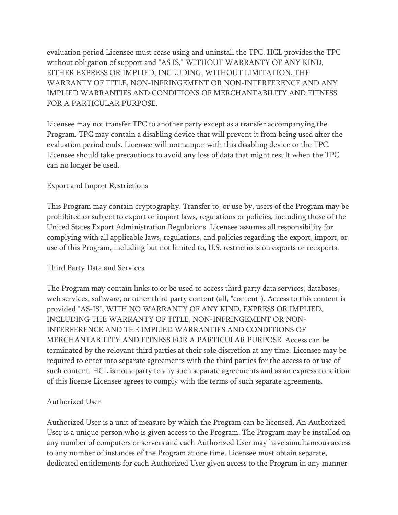evaluation period Licensee must cease using and uninstall the TPC. HCL provides the TPC without obligation of support and "AS IS," WITHOUT WARRANTY OF ANY KIND, EITHER EXPRESS OR IMPLIED, INCLUDING, WITHOUT LIMITATION, THE WARRANTY OF TITLE, NON-INFRINGEMENT OR NON-INTERFERENCE AND ANY IMPLIED WARRANTIES AND CONDITIONS OF MERCHANTABILITY AND FITNESS FOR A PARTICULAR PURPOSE.

Licensee may not transfer TPC to another party except as a transfer accompanying the Program. TPC may contain a disabling device that will prevent it from being used after the evaluation period ends. Licensee will not tamper with this disabling device or the TPC. Licensee should take precautions to avoid any loss of data that might result when the TPC can no longer be used.

# Export and Import Restrictions

This Program may contain cryptography. Transfer to, or use by, users of the Program may be prohibited or subject to export or import laws, regulations or policies, including those of the United States Export Administration Regulations. Licensee assumes all responsibility for complying with all applicable laws, regulations, and policies regarding the export, import, or use of this Program, including but not limited to, U.S. restrictions on exports or reexports.

### Third Party Data and Services

The Program may contain links to or be used to access third party data services, databases, web services, software, or other third party content (all, "content"). Access to this content is provided "AS-IS", WITH NO WARRANTY OF ANY KIND, EXPRESS OR IMPLIED, INCLUDING THE WARRANTY OF TITLE, NON-INFRINGEMENT OR NON-INTERFERENCE AND THE IMPLIED WARRANTIES AND CONDITIONS OF MERCHANTABILITY AND FITNESS FOR A PARTICULAR PURPOSE. Access can be terminated by the relevant third parties at their sole discretion at any time. Licensee may be required to enter into separate agreements with the third parties for the access to or use of such content. HCL is not a party to any such separate agreements and as an express condition of this license Licensee agrees to comply with the terms of such separate agreements.

# Authorized User

Authorized User is a unit of measure by which the Program can be licensed. An Authorized User is a unique person who is given access to the Program. The Program may be installed on any number of computers or servers and each Authorized User may have simultaneous access to any number of instances of the Program at one time. Licensee must obtain separate, dedicated entitlements for each Authorized User given access to the Program in any manner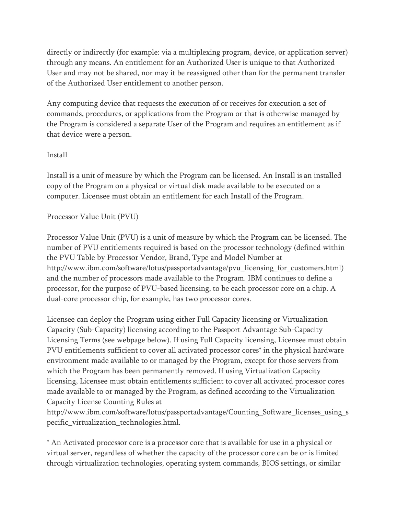directly or indirectly (for example: via a multiplexing program, device, or application server) through any means. An entitlement for an Authorized User is unique to that Authorized User and may not be shared, nor may it be reassigned other than for the permanent transfer of the Authorized User entitlement to another person.

Any computing device that requests the execution of or receives for execution a set of commands, procedures, or applications from the Program or that is otherwise managed by the Program is considered a separate User of the Program and requires an entitlement as if that device were a person.

## **Install**

Install is a unit of measure by which the Program can be licensed. An Install is an installed copy of the Program on a physical or virtual disk made available to be executed on a computer. Licensee must obtain an entitlement for each Install of the Program.

# Processor Value Unit (PVU)

Processor Value Unit (PVU) is a unit of measure by which the Program can be licensed. The number of PVU entitlements required is based on the processor technology (defined within the PVU Table by Processor Vendor, Brand, Type and Model Number at http://www.ibm.com/software/lotus/passportadvantage/pvu\_licensing\_for\_customers.html) and the number of processors made available to the Program. IBM continues to define a processor, for the purpose of PVU-based licensing, to be each processor core on a chip. A dual-core processor chip, for example, has two processor cores.

Licensee can deploy the Program using either Full Capacity licensing or Virtualization Capacity (Sub-Capacity) licensing according to the Passport Advantage Sub-Capacity Licensing Terms (see webpage below). If using Full Capacity licensing, Licensee must obtain PVU entitlements sufficient to cover all activated processor cores\* in the physical hardware environment made available to or managed by the Program, except for those servers from which the Program has been permanently removed. If using Virtualization Capacity licensing, Licensee must obtain entitlements sufficient to cover all activated processor cores made available to or managed by the Program, as defined according to the Virtualization Capacity License Counting Rules at

http://www.ibm.com/software/lotus/passportadvantage/Counting\_Software\_licenses\_using\_s pecific\_virtualization\_technologies.html.

\* An Activated processor core is a processor core that is available for use in a physical or virtual server, regardless of whether the capacity of the processor core can be or is limited through virtualization technologies, operating system commands, BIOS settings, or similar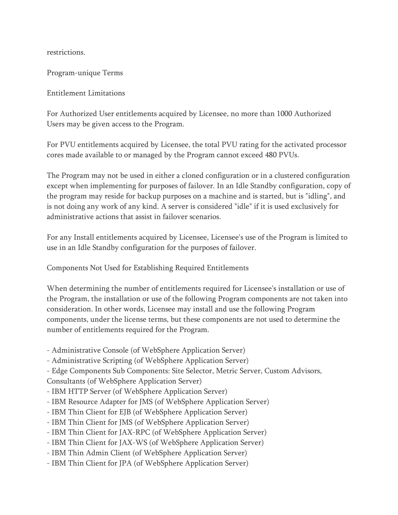restrictions.

Program-unique Terms

Entitlement Limitations

For Authorized User entitlements acquired by Licensee, no more than 1000 Authorized Users may be given access to the Program.

For PVU entitlements acquired by Licensee, the total PVU rating for the activated processor cores made available to or managed by the Program cannot exceed 480 PVUs.

The Program may not be used in either a cloned configuration or in a clustered configuration except when implementing for purposes of failover. In an Idle Standby configuration, copy of the program may reside for backup purposes on a machine and is started, but is "idling", and is not doing any work of any kind. A server is considered "idle" if it is used exclusively for administrative actions that assist in failover scenarios.

For any Install entitlements acquired by Licensee, Licensee's use of the Program is limited to use in an Idle Standby configuration for the purposes of failover.

Components Not Used for Establishing Required Entitlements

When determining the number of entitlements required for Licensee's installation or use of the Program, the installation or use of the following Program components are not taken into consideration. In other words, Licensee may install and use the following Program components, under the license terms, but these components are not used to determine the number of entitlements required for the Program.

- Administrative Console (of WebSphere Application Server)
- Administrative Scripting (of WebSphere Application Server)

- Edge Components Sub Components: Site Selector, Metric Server, Custom Advisors,

Consultants (of WebSphere Application Server)

- IBM HTTP Server (of WebSphere Application Server)
- IBM Resource Adapter for JMS (of WebSphere Application Server)
- IBM Thin Client for EJB (of WebSphere Application Server)
- IBM Thin Client for JMS (of WebSphere Application Server)
- IBM Thin Client for JAX-RPC (of WebSphere Application Server)
- IBM Thin Client for JAX-WS (of WebSphere Application Server)
- IBM Thin Admin Client (of WebSphere Application Server)
- IBM Thin Client for JPA (of WebSphere Application Server)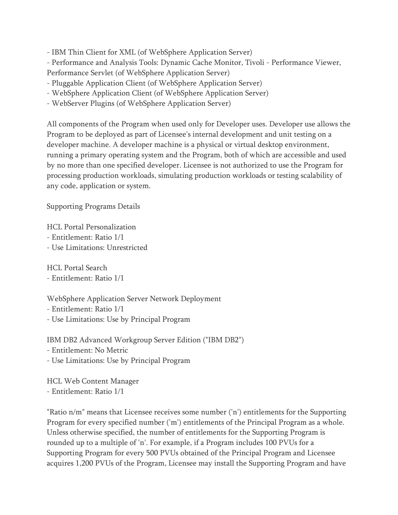- IBM Thin Client for XML (of WebSphere Application Server)

- Performance and Analysis Tools: Dynamic Cache Monitor, Tivoli - Performance Viewer,

Performance Servlet (of WebSphere Application Server)

- Pluggable Application Client (of WebSphere Application Server)
- WebSphere Application Client (of WebSphere Application Server)
- WebServer Plugins (of WebSphere Application Server)

All components of the Program when used only for Developer uses. Developer use allows the Program to be deployed as part of Licensee's internal development and unit testing on a developer machine. A developer machine is a physical or virtual desktop environment, running a primary operating system and the Program, both of which are accessible and used by no more than one specified developer. Licensee is not authorized to use the Program for processing production workloads, simulating production workloads or testing scalability of any code, application or system.

Supporting Programs Details

HCL Portal Personalization

- Entitlement: Ratio 1/1
- Use Limitations: Unrestricted

HCL Portal Search

# - Entitlement: Ratio 1/1

WebSphere Application Server Network Deployment

- Entitlement: Ratio 1/1
- Use Limitations: Use by Principal Program

IBM DB2 Advanced Workgroup Server Edition ("IBM DB2")

- Entitlement: No Metric
- Use Limitations: Use by Principal Program

HCL Web Content Manager - Entitlement: Ratio 1/1

"Ratio n/m" means that Licensee receives some number ('n') entitlements for the Supporting Program for every specified number ('m') entitlements of the Principal Program as a whole. Unless otherwise specified, the number of entitlements for the Supporting Program is rounded up to a multiple of 'n'. For example, if a Program includes 100 PVUs for a Supporting Program for every 500 PVUs obtained of the Principal Program and Licensee acquires 1,200 PVUs of the Program, Licensee may install the Supporting Program and have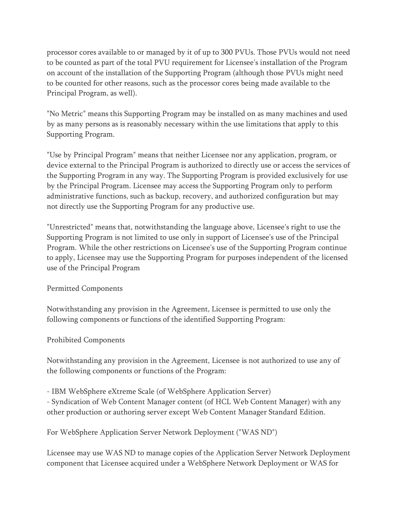processor cores available to or managed by it of up to 300 PVUs. Those PVUs would not need to be counted as part of the total PVU requirement for Licensee's installation of the Program on account of the installation of the Supporting Program (although those PVUs might need to be counted for other reasons, such as the processor cores being made available to the Principal Program, as well).

"No Metric" means this Supporting Program may be installed on as many machines and used by as many persons as is reasonably necessary within the use limitations that apply to this Supporting Program.

"Use by Principal Program" means that neither Licensee nor any application, program, or device external to the Principal Program is authorized to directly use or access the services of the Supporting Program in any way. The Supporting Program is provided exclusively for use by the Principal Program. Licensee may access the Supporting Program only to perform administrative functions, such as backup, recovery, and authorized configuration but may not directly use the Supporting Program for any productive use.

"Unrestricted" means that, notwithstanding the language above, Licensee's right to use the Supporting Program is not limited to use only in support of Licensee's use of the Principal Program. While the other restrictions on Licensee's use of the Supporting Program continue to apply, Licensee may use the Supporting Program for purposes independent of the licensed use of the Principal Program

# Permitted Components

Notwithstanding any provision in the Agreement, Licensee is permitted to use only the following components or functions of the identified Supporting Program:

# Prohibited Components

Notwithstanding any provision in the Agreement, Licensee is not authorized to use any of the following components or functions of the Program:

- IBM WebSphere eXtreme Scale (of WebSphere Application Server)

- Syndication of Web Content Manager content (of HCL Web Content Manager) with any other production or authoring server except Web Content Manager Standard Edition.

For WebSphere Application Server Network Deployment ("WAS ND")

Licensee may use WAS ND to manage copies of the Application Server Network Deployment component that Licensee acquired under a WebSphere Network Deployment or WAS for